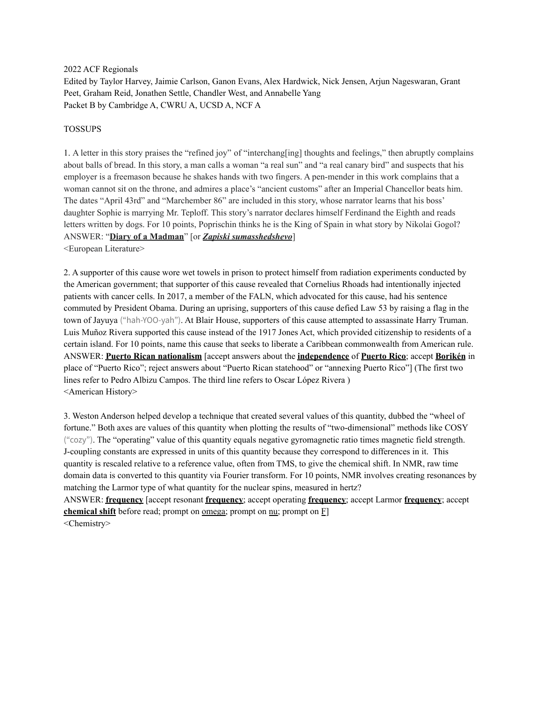2022 ACF Regionals

Edited by Taylor Harvey, Jaimie Carlson, Ganon Evans, Alex Hardwick, Nick Jensen, Arjun Nageswaran, Grant Peet, Graham Reid, Jonathen Settle, Chandler West, and Annabelle Yang Packet B by Cambridge A, CWRU A, UCSD A, NCF A

#### TOSSUPS

1. A letter in this story praises the "refined joy" of "interchang[ing] thoughts and feelings," then abruptly complains about balls of bread. In this story, a man calls a woman "a real sun" and "a real canary bird" and suspects that his employer is a freemason because he shakes hands with two fingers. A pen-mender in this work complains that a woman cannot sit on the throne, and admires a place's "ancient customs" after an Imperial Chancellor beats him. The dates "April 43rd" and "Marchember 86" are included in this story, whose narrator learns that his boss' daughter Sophie is marrying Mr. Teploff. This story's narrator declares himself Ferdinand the Eighth and reads letters written by dogs. For 10 points, Poprischin thinks he is the King of Spain in what story by Nikolai Gogol? ANSWER: "**Diary of a Madman**" [or *Zapiski sumasshedshevo*]

<European Literature>

2. A supporter of this cause wore wet towels in prison to protect himself from radiation experiments conducted by the American government; that supporter of this cause revealed that Cornelius Rhoads had intentionally injected patients with cancer cells. In 2017, a member of the FALN, which advocated for this cause, had his sentence commuted by President Obama. During an uprising, supporters of this cause defied Law 53 by raising a flag in the town of Jayuya ("hah-YOO-yah"). At Blair House, supporters of this cause attempted to assassinate Harry Truman. Luis Muñoz Rivera supported this cause instead of the 1917 Jones Act, which provided citizenship to residents of a certain island. For 10 points, name this cause that seeks to liberate a Caribbean commonwealth from American rule. ANSWER: **Puerto Rican nationalism** [accept answers about the **independence** of **Puerto Rico**; accept **Borikén** in place of "Puerto Rico"; reject answers about "Puerto Rican statehood" or "annexing Puerto Rico"] (The first two lines refer to Pedro Albizu Campos. The third line refers to Oscar López Rivera ) <American History>

3. Weston Anderson helped develop a technique that created several values of this quantity, dubbed the "wheel of fortune." Both axes are values of this quantity when plotting the results of "two-dimensional" methods like COSY ("cozy"). The "operating" value of this quantity equals negative gyromagnetic ratio times magnetic field strength. J-coupling constants are expressed in units of this quantity because they correspond to differences in it. This quantity is rescaled relative to a reference value, often from TMS, to give the chemical shift. In NMR, raw time domain data is converted to this quantity via Fourier transform. For 10 points, NMR involves creating resonances by matching the Larmor type of what quantity for the nuclear spins, measured in hertz?

ANSWER: **frequency** [accept resonant **frequency**; accept operating **frequency**; accept Larmor **frequency**; accept **chemical shift** before read; prompt on <u>omega</u>; prompt on  $\underline{n}$  prompt on  $\underline{F}$ ] <Chemistry>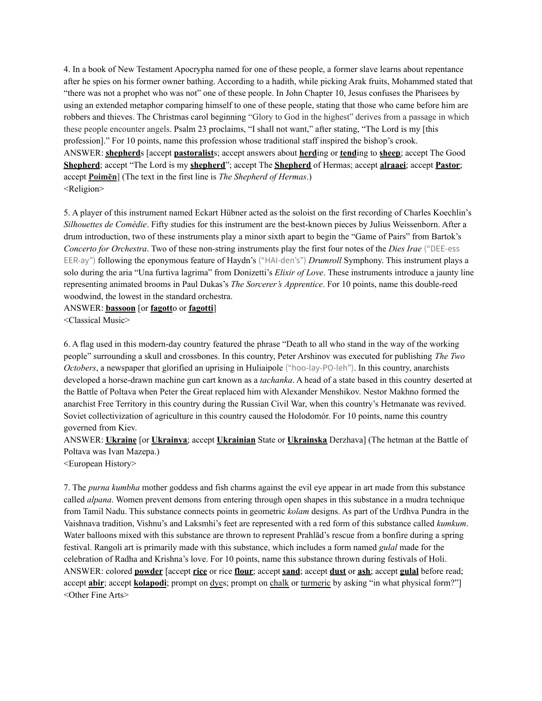4. In a book of New Testament Apocrypha named for one of these people, a former slave learns about repentance after he spies on his former owner bathing. According to a hadith, while picking Arak fruits, Mohammed stated that "there was not a prophet who was not" one of these people. In John Chapter 10, Jesus confuses the Pharisees by using an extended metaphor comparing himself to one of these people, stating that those who came before him are robbers and thieves. The Christmas carol beginning "Glory to God in the highest" derives from a passage in which these people encounter angels. Psalm 23 proclaims, "I shall not want," after stating, "The Lord is my [this profession]." For 10 points, name this profession whose traditional staff inspired the bishop's crook. ANSWER: **shepherd**s [accept **pastoralist**s; accept answers about **herd**ing or **tend**ing to **sheep**; accept The Good **Shepherd**; accept "The Lord is my **shepherd**"; accept The **Shepherd** of Hermas; accept **alraaei**; accept **Pastor**; accept **Poimēn**] (The text in the first line is *The Shepherd of Hermas*.) <Religion>

5. A player of this instrument named Eckart Hübner acted as the soloist on the first recording of Charles Koechlin's *Silhouettes de Comédie*. Fifty studies for this instrument are the best-known pieces by Julius Weissenborn. After a drum introduction, two of these instruments play a minor sixth apart to begin the "Game of Pairs" from Bartok's *Concerto for Orchestra*. Two of these non-string instruments play the first four notes of the *Dies Irae* ("DEE-ess EER-ay") following the eponymous feature of Haydn's ("HAI-den's") *Drumroll* Symphony. This instrument plays a solo during the aria "Una furtiva lagrima" from Donizetti's *Elixir of Love*. These instruments introduce a jaunty line representing animated brooms in Paul Dukas's *The Sorcerer's Apprentice*. For 10 points, name this double-reed woodwind, the lowest in the standard orchestra.

ANSWER: **bassoon** [or **fagott**o or **fagotti**]

<Classical Music>

6. A flag used in this modern-day country featured the phrase "Death to all who stand in the way of the working people" surrounding a skull and crossbones. In this country, Peter Arshinov was executed for publishing *The Two Octobers*, a newspaper that glorified an uprising in Huliaipole ("hoo-lay-PO-leh"). In this country, anarchists developed a horse-drawn machine gun cart known as a *tachanka*. A head of a state based in this country deserted at the Battle of Poltava when Peter the Great replaced him with Alexander Menshikov. Nestor Makhno formed the anarchist Free Territory in this country during the Russian Civil War, when this country's Hetmanate was revived. Soviet collectivization of agriculture in this country caused the Holodomór. For 10 points, name this country governed from Kiev.

ANSWER: **Ukraine** [or **Ukrainya**; accept **Ukrainian** State or **Ukrainska** Derzhava] (The hetman at the Battle of Poltava was Ivan Mazepa.)

<European History>

7. The *purna kumbha* mother goddess and fish charms against the evil eye appear in art made from this substance called *alpana*. Women prevent demons from entering through open shapes in this substance in a mudra technique from Tamil Nadu. This substance connects points in geometric *kolam* designs. As part of the Urdhva Pundra in the Vaishnava tradition, Vishnu's and Laksmhi's feet are represented with a red form of this substance called *kumkum*. Water balloons mixed with this substance are thrown to represent Prahlad's rescue from a bonfire during a spring festival. Rangoli art is primarily made with this substance, which includes a form named *gulal* made for the celebration of Radha and Krishna's love. For 10 points, name this substance thrown during festivals of Holi. ANSWER: colored **powder** [accept **rice** or rice **flour**; accept **sand**; accept **dust** or **ash**; accept **gulal** before read; accept **abir**; accept **kolapodi**; prompt on <u>dyes</u>; prompt on chalk or turmeric by asking "in what physical form?"] <Other Fine Arts>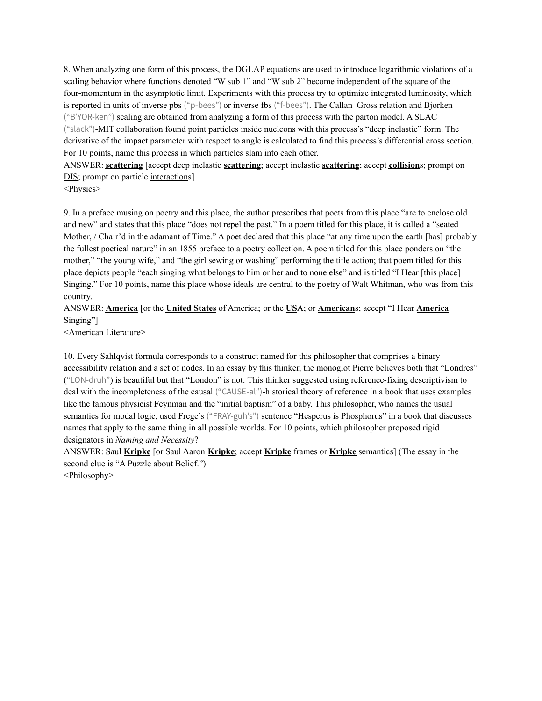8. When analyzing one form of this process, the DGLAP equations are used to introduce logarithmic violations of a scaling behavior where functions denoted "W sub 1" and "W sub 2" become independent of the square of the four-momentum in the asymptotic limit. Experiments with this process try to optimize integrated luminosity, which is reported in units of inverse pbs ("p-bees") or inverse fbs ("f-bees"). The Callan–Gross relation and Bjorken ("B'YOR-ken") scaling are obtained from analyzing a form of this process with the parton model. A SLAC ("slack")-MIT collaboration found point particles inside nucleons with this process's "deep inelastic" form. The derivative of the impact parameter with respect to angle is calculated to find this process's differential cross section. For 10 points, name this process in which particles slam into each other.

ANSWER: **scattering** [accept deep inelastic **scattering**; accept inelastic **scattering**; accept **collision**s; prompt on DIS; prompt on particle interactions]

<Physics>

9. In a preface musing on poetry and this place, the author prescribes that poets from this place "are to enclose old and new" and states that this place "does not repel the past." In a poem titled for this place, it is called a "seated Mother, / Chair'd in the adamant of Time." A poet declared that this place "at any time upon the earth [has] probably the fullest poetical nature" in an 1855 preface to a poetry collection. A poem titled for this place ponders on "the mother," "the young wife," and "the girl sewing or washing" performing the title action; that poem titled for this place depicts people "each singing what belongs to him or her and to none else" and is titled "I Hear [this place] Singing." For 10 points, name this place whose ideals are central to the poetry of Walt Whitman, who was from this country.

## ANSWER: **America** [or the **United States** of America; or the **US**A; or **American**s; accept "I Hear **America** Singing"]

<American Literature>

10. Every Sahlqvist formula corresponds to a construct named for this philosopher that comprises a binary accessibility relation and a set of nodes. In an essay by this thinker, the monoglot Pierre believes both that "Londres" ("LON-druh") is beautiful but that "London" is not. This thinker suggested using reference-fixing descriptivism to deal with the incompleteness of the causal ("CAUSE-al")-historical theory of reference in a book that uses examples like the famous physicist Feynman and the "initial baptism" of a baby. This philosopher, who names the usual semantics for modal logic, used Frege's ("FRAY-guh's") sentence "Hesperus is Phosphorus" in a book that discusses names that apply to the same thing in all possible worlds. For 10 points, which philosopher proposed rigid designators in *Naming and Necessity*?

ANSWER: Saul **Kripke** [or Saul Aaron **Kripke**; accept **Kripke** frames or **Kripke** semantics] (The essay in the second clue is "A Puzzle about Belief.")

<Philosophy>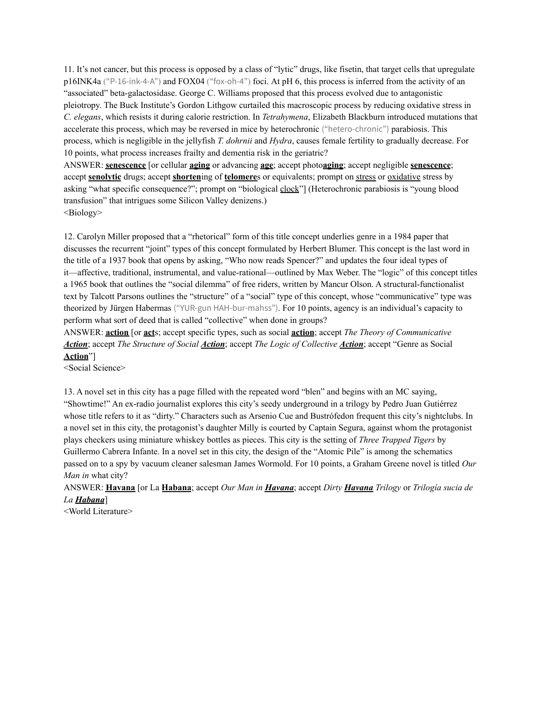11. It's not cancer, but this process is opposed by a class of "lytic" drugs, like fisetin, that target cells that upregulate p16INK4a ("P-16-ink-4-A") and FOX04 ("fox-oh-4") foci. At pH 6, this process is inferred from the activity of an "associated" beta-galactosidase. George C. Williams proposed that this process evolved due to antagonistic pleiotropy. The Buck Institute's Gordon Lithgow curtailed this macroscopic process by reducing oxidative stress in *C. elegans*, which resists it during calorie restriction. In *Tetrahymena*, Elizabeth Blackburn introduced mutations that accelerate this process, which may be reversed in mice by heterochronic ("hetero-chronic") parabiosis. This process, which is negligible in the jellyfish *T. dohrnii* and *Hydra*, causes female fertility to gradually decrease. For 10 points, what process increases frailty and dementia risk in the geriatric?

ANSWER: **senescence** [or cellular **aging** or advancing **age**; accept photo**aging**; accept negligible **senescence**; accept **senolytic** drugs; accept **shorten**ing of **telomere**s or equivalents; prompt on stress or oxidative stress by asking "what specific consequence?"; prompt on "biological clock"] (Heterochronic parabiosis is "young blood transfusion" that intrigues some Silicon Valley denizens.)

<Biology>

12. Carolyn Miller proposed that a "rhetorical" form of this title concept underlies genre in a 1984 paper that discusses the recurrent "joint" types of this concept formulated by Herbert Blumer. This concept is the last word in the title of a 1937 book that opens by asking, "Who now reads Spencer?" and updates the four ideal types of it—affective, traditional, instrumental, and value-rational—outlined by Max Weber. The "logic" of this concept titles a 1965 book that outlines the "social dilemma" of free riders, written by Mancur Olson. A structural-functionalist text by Talcott Parsons outlines the "structure" of a "social" type of this concept, whose "communicative" type was theorized by Jürgen Habermas ("YUR-gun HAH-bur-mahss"). For 10 points, agency is an individual's capacity to perform what sort of deed that is called "collective" when done in groups?

ANSWER: **action** [or **act**s; accept specific types, such as social **action**; accept *The Theory of Communicative Action*; accept *The Structure of Social Action*; accept *The Logic of Collective Action*; accept "Genre as Social **Action**"]

<Social Science>

13. A novel set in this city has a page filled with the repeated word "blen" and begins with an MC saying, "Showtime!" An ex-radio journalist explores this city's seedy underground in a trilogy by Pedro Juan Gutiérrez whose title refers to it as "dirty." Characters such as Arsenio Cue and Bustrófedon frequent this city's nightclubs. In a novel set in this city, the protagonist's daughter Milly is courted by Captain Segura, against whom the protagonist plays checkers using miniature whiskey bottles as pieces. This city is the setting of *Three Trapped Tigers* by Guillermo Cabrera Infante. In a novel set in this city, the design of the "Atomic Pile" is among the schematics passed on to a spy by vacuum cleaner salesman James Wormold. For 10 points, a Graham Greene novel is titled *Our Man in* what city?

ANSWER: **Havana** [or La **Habana**; accept *Our Man in Havana*; accept *Dirty Havana Trilogy* or *Trilogía sucia de La Habana*]

<World Literature>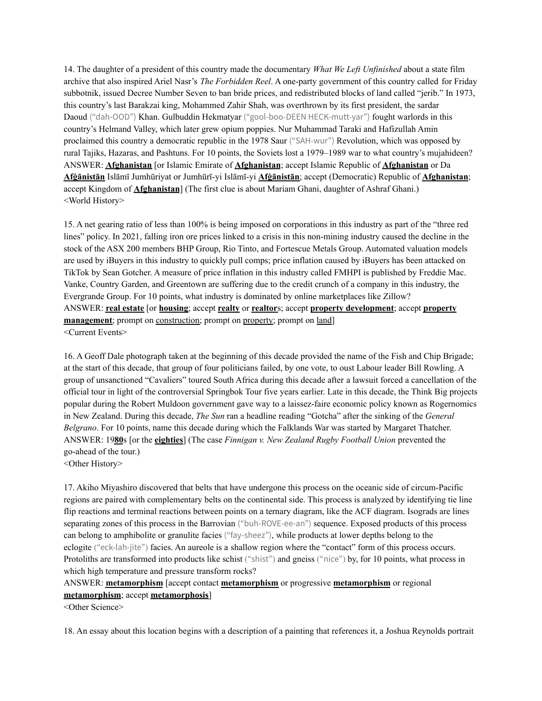14. The daughter of a president of this country made the documentary *What We Left Unfinished* about a state film archive that also inspired Ariel Nasr's *The Forbidden Reel*. A one-party government of this country called for Friday subbotnik, issued Decree Number Seven to ban bride prices, and redistributed blocks of land called "jerib." In 1973, this country's last Barakzai king, Mohammed Zahir Shah, was overthrown by its first president, the sardar Daoud ("dah-OOD") Khan. Gulbuddin Hekmatyar ("gool-boo-DEEN HECK-mutt-yar") fought warlords in this country's Helmand Valley, which later grew opium poppies. Nur Muhammad Taraki and Hafizullah Amin proclaimed this country a democratic republic in the 1978 Saur ("SAH-wur") Revolution, which was opposed by rural Tajiks, Hazaras, and Pashtuns. For 10 points, the Soviets lost a 1979–1989 war to what country's mujahideen? ANSWER: **Afghanistan** [or Islamic Emirate of **Afghanistan**; accept Islamic Republic of **Afghanistan** or Da **Afġānistān** Islāmī Jumhūriyat or Jumhūrī-yi Islāmī-yi **Afġānistān**; accept (Democratic) Republic of **Afghanistan**; accept Kingdom of **Afghanistan**] (The first clue is about Mariam Ghani, daughter of Ashraf Ghani.) <World History>

15. A net gearing ratio of less than 100% is being imposed on corporations in this industry as part of the "three red lines" policy. In 2021, falling iron ore prices linked to a crisis in this non-mining industry caused the decline in the stock of the ASX 200 members BHP Group, Rio Tinto, and Fortescue Metals Group. Automated valuation models are used by iBuyers in this industry to quickly pull comps; price inflation caused by iBuyers has been attacked on TikTok by Sean Gotcher. A measure of price inflation in this industry called FMHPI is published by Freddie Mac. Vanke, Country Garden, and Greentown are suffering due to the credit crunch of a company in this industry, the Evergrande Group. For 10 points, what industry is dominated by online marketplaces like Zillow? ANSWER: **real estate** [or **housing**; accept **realty** or **realtor**s; accept **property development**; accept **property management**; prompt on construction; prompt on property; prompt on land] <Current Events>

16. A Geoff Dale photograph taken at the beginning of this decade provided the name of the Fish and Chip Brigade; at the start of this decade, that group of four politicians failed, by one vote, to oust Labour leader Bill Rowling. A group of unsanctioned "Cavaliers" toured South Africa during this decade after a lawsuit forced a cancellation of the official tour in light of the controversial Springbok Tour five years earlier. Late in this decade, the Think Big projects popular during the Robert Muldoon government gave way to a laissez-faire economic policy known as Rogernomics in New Zealand. During this decade, *The Sun* ran a headline reading "Gotcha" after the sinking of the *General Belgrano*. For 10 points, name this decade during which the Falklands War was started by Margaret Thatcher. ANSWER: 19**80**s [or the **eighties**] (The case *Finnigan v. New Zealand Rugby Football Union* prevented the go-ahead of the tour.)

<Other History>

17. Akiho Miyashiro discovered that belts that have undergone this process on the oceanic side of circum-Pacific regions are paired with complementary belts on the continental side. This process is analyzed by identifying tie line flip reactions and terminal reactions between points on a ternary diagram, like the ACF diagram. Isograds are lines separating zones of this process in the Barrovian ("buh-ROVE-ee-an") sequence. Exposed products of this process can belong to amphibolite or granulite facies ("fay-sheez"), while products at lower depths belong to the eclogite ("eck-lah-jite") facies. An aureole is a shallow region where the "contact" form of this process occurs. Protoliths are transformed into products like schist ("shist") and gneiss ("nice") by, for 10 points, what process in which high temperature and pressure transform rocks?

# ANSWER: **metamorphism** [accept contact **metamorphism** or progressive **metamorphism** or regional

## **metamorphism**; accept **metamorphosis**]

<Other Science>

18. An essay about this location begins with a description of a painting that references it, a Joshua Reynolds portrait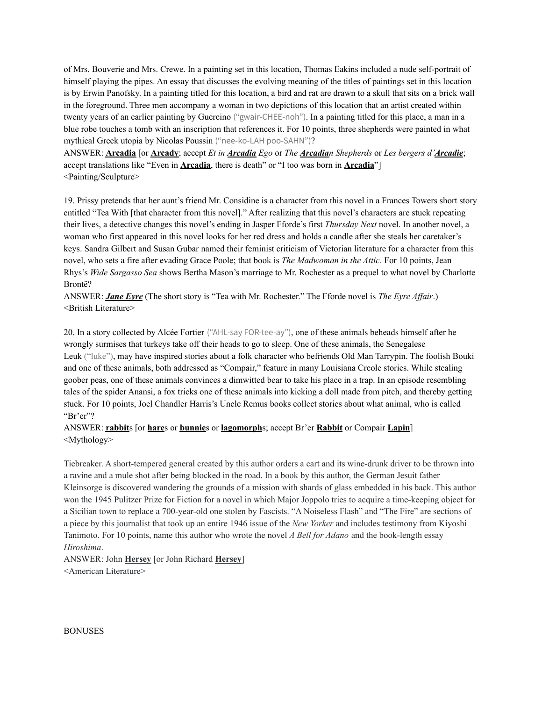of Mrs. Bouverie and Mrs. Crewe. In a painting set in this location, Thomas Eakins included a nude self-portrait of himself playing the pipes. An essay that discusses the evolving meaning of the titles of paintings set in this location is by Erwin Panofsky. In a painting titled for this location, a bird and rat are drawn to a skull that sits on a brick wall in the foreground. Three men accompany a woman in two depictions of this location that an artist created within twenty years of an earlier painting by Guercino ("gwair-CHEE-noh"). In a painting titled for this place, a man in a blue robe touches a tomb with an inscription that references it. For 10 points, three shepherds were painted in what mythical Greek utopia by Nicolas Poussin ("nee-ko-LAH poo-SAHN")?

ANSWER: **Arcadia** [or **Arcady**; accept *Et in Arcadia Ego* or *The Arcadian Shepherds* or *Les bergers d'Arcadie*; accept translations like "Even in **Arcadia**, there is death" or "I too was born in **Arcadia**"] <Painting/Sculpture>

19. Prissy pretends that her aunt's friend Mr. Considine is a character from this novel in a Frances Towers short story entitled "Tea With [that character from this novel]." After realizing that this novel's characters are stuck repeating their lives, a detective changes this novel's ending in Jasper Fforde's first *Thursday Next* novel. In another novel, a woman who first appeared in this novel looks for her red dress and holds a candle after she steals her caretaker's keys. Sandra Gilbert and Susan Gubar named their feminist criticism of Victorian literature for a character from this novel, who sets a fire after evading Grace Poole; that book is *The Madwoman in the Attic.* For 10 points, Jean Rhys's *Wide Sargasso Sea* shows Bertha Mason's marriage to Mr. Rochester as a prequel to what novel by Charlotte Brontë?

ANSWER: *Jane Eyre* (The short story is "Tea with Mr. Rochester." The Fforde novel is *The Eyre Af air*.) <British Literature>

20. In a story collected by Alcée Fortier ("AHL-say FOR-tee-ay"), one of these animals beheads himself after he wrongly surmises that turkeys take off their heads to go to sleep. One of these animals, the Senegalese Leuk ("luke"), may have inspired stories about a folk character who befriends Old Man Tarrypin. The foolish Bouki and one of these animals, both addressed as "Compair," feature in many Louisiana Creole stories. While stealing goober peas, one of these animals convinces a dimwitted bear to take his place in a trap. In an episode resembling tales of the spider Anansi, a fox tricks one of these animals into kicking a doll made from pitch, and thereby getting stuck. For 10 points, Joel Chandler Harris's Uncle Remus books collect stories about what animal, who is called "Br'er"?

## ANSWER: **rabbit**s [or **hare**s or **bunnie**s or **lagomorph**s; accept Br'er **Rabbit** or Compair **Lapin**] <Mythology>

Tiebreaker. A short-tempered general created by this author orders a cart and its wine-drunk driver to be thrown into a ravine and a mule shot after being blocked in the road. In a book by this author, the German Jesuit father Kleinsorge is discovered wandering the grounds of a mission with shards of glass embedded in his back. This author won the 1945 Pulitzer Prize for Fiction for a novel in which Major Joppolo tries to acquire a time-keeping object for a Sicilian town to replace a 700-year-old one stolen by Fascists. "A Noiseless Flash" and "The Fire" are sections of a piece by this journalist that took up an entire 1946 issue of the *New Yorker* and includes testimony from Kiyoshi Tanimoto. For 10 points, name this author who wrote the novel *A Bell for Adano* and the book-length essay *Hiroshima*.

ANSWER: John **Hersey** [or John Richard **Hersey**] <American Literature>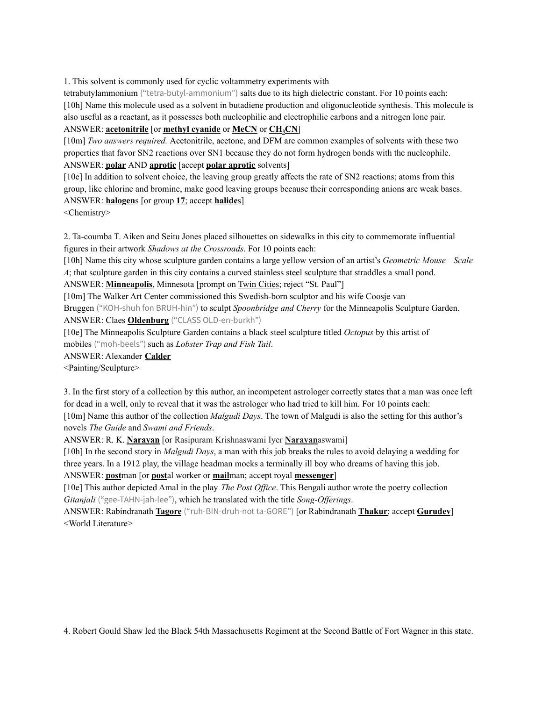1. This solvent is commonly used for cyclic voltammetry experiments with

tetrabutylammonium ("tetra-butyl-ammonium") salts due to its high dielectric constant. For 10 points each: [10h] Name this molecule used as a solvent in butadiene production and oligonucleotide synthesis. This molecule is also useful as a reactant, as it possesses both nucleophilic and electrophilic carbons and a nitrogen lone pair. ANSWER: **acetonitrile** [or **methyl cyanide** or **MeCN** or **CH3CN**]

[10m] *Two answers required.* Acetonitrile, acetone, and DFM are common examples of solvents with these two properties that favor SN2 reactions over SN1 because they do not form hydrogen bonds with the nucleophile. ANSWER: **polar** AND **aprotic** [accept **polar aprotic** solvents]

[10e] In addition to solvent choice, the leaving group greatly affects the rate of SN2 reactions; atoms from this group, like chlorine and bromine, make good leaving groups because their corresponding anions are weak bases. ANSWER: **halogen**s [or group **17**; accept **halide**s]

<Chemistry>

2. Ta-coumba T. Aiken and Seitu Jones placed silhouettes on sidewalks in this city to commemorate influential figures in their artwork *Shadows at the Crossroads*. For 10 points each:

[10h] Name this city whose sculpture garden contains a large yellow version of an artist's *Geometric Mouse—Scale A*; that sculpture garden in this city contains a curved stainless steel sculpture that straddles a small pond.

ANSWER: **Minneapolis**, Minnesota [prompt on Twin Cities; reject "St. Paul"]

[10m] The Walker Art Center commissioned this Swedish-born sculptor and his wife Coosje van Bruggen ("KOH-shuh fon BRUH-hin") to sculpt *Spoonbridge and Cherry* for the Minneapolis Sculpture Garden.

ANSWER: Claes **Oldenburg** ("CLASS OLD-en-burkh")

[10e] The Minneapolis Sculpture Garden contains a black steel sculpture titled *Octopus* by this artist of mobiles ("moh-beels") such as *Lobster Trap and Fish Tail*.

ANSWER: Alexander **Calder**

<Painting/Sculpture>

3. In the first story of a collection by this author, an incompetent astrologer correctly states that a man was once left for dead in a well, only to reveal that it was the astrologer who had tried to kill him. For 10 points each: [10m] Name this author of the collection *Malgudi Days*. The town of Malgudi is also the setting for this author's novels *The Guide* and *Swami and Friends*.

ANSWER: R. K. **Narayan** [or Rasipuram Krishnaswami Iyer **Narayan**aswami]

[10h] In the second story in *Malgudi Days*, a man with this job breaks the rules to avoid delaying a wedding for three years. In a 1912 play, the village headman mocks a terminally ill boy who dreams of having this job.

ANSWER: **post**man [or **post**al worker or **mail**man; accept royal **messenger**]

[10e] This author depicted Amal in the play *The Post Of ice*. This Bengali author wrote the poetry collection *Gitanjali* ("gee-TAHN-jah-lee"), which he translated with the title *Song-Offerings*.

ANSWER: Rabindranath **Tagore** ("ruh-BIN-druh-not ta-GORE") [or Rabindranath **Thakur**; accept **Gurudev**] <World Literature>

4. Robert Gould Shaw led the Black 54th Massachusetts Regiment at the Second Battle of Fort Wagner in this state.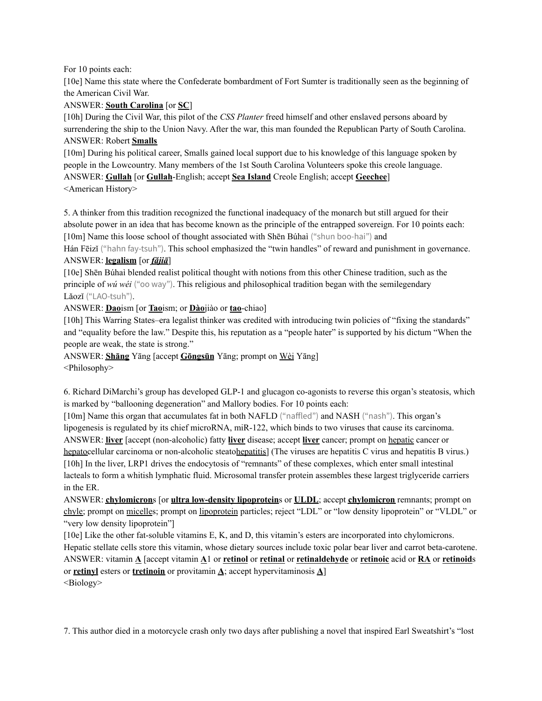#### For 10 points each:

[10e] Name this state where the Confederate bombardment of Fort Sumter is traditionally seen as the beginning of the American Civil War.

## ANSWER: **South Carolina** [or **SC**]

[10h] During the Civil War, this pilot of the *CSS Planter* freed himself and other enslaved persons aboard by surrendering the ship to the Union Navy. After the war, this man founded the Republican Party of South Carolina. ANSWER: Robert **Smalls**

[10m] During his political career, Smalls gained local support due to his knowledge of this language spoken by people in the Lowcountry. Many members of the 1st South Carolina Volunteers spoke this creole language. ANSWER: **Gullah** [or **Gullah**-English; accept **Sea Island** Creole English; accept **Geechee**] <American History>

5. A thinker from this tradition recognized the functional inadequacy of the monarch but still argued for their absolute power in an idea that has become known as the principle of the entrapped sovereign. For 10 points each: [10m] Name this loose school of thought associated with Shēn Búhaì ("shun boo-hai") and

Hán Fēizǐ ("hahn fay-tsuh"). This school emphasized the "twin handles" of reward and punishment in governance. ANSWER: **legalism** [or *fǎjiā*]

[10e] Shēn Búhaì blended realist political thought with notions from this other Chinese tradition, such as the principle of *wú wéi* ("oo way"). This religious and philosophical tradition began with the semilegendary Lǎozǐ ("LAO-tsuh").

ANSWER: **Dao**ism [or **Tao**ism; or **Dào**jiào or **tao**-chiao]

[10h] This Warring States–era legalist thinker was credited with introducing twin policies of "fixing the standards" and "equality before the law." Despite this, his reputation as a "people hater" is supported by his dictum "When the people are weak, the state is strong."

ANSWER: **Shāng** Yāng [accept **Gōngsūn** Yāng; prompt on Wèi Yāng] <Philosophy>

6. Richard DiMarchi's group has developed GLP-1 and glucagon co-agonists to reverse this organ's steatosis, which is marked by "ballooning degeneration" and Mallory bodies. For 10 points each:

[10m] Name this organ that accumulates fat in both NAFLD ("naffled") and NASH ("nash"). This organ's lipogenesis is regulated by its chief microRNA, miR-122, which binds to two viruses that cause its carcinoma. ANSWER: **liver** [accept (non-alcoholic) fatty **liver** disease; accept **liver** cancer; prompt on hepatic cancer or hepatocellular carcinoma or non-alcoholic steatohepatitis] (The viruses are hepatitis C virus and hepatitis B virus.) [10h] In the liver, LRP1 drives the endocytosis of "remnants" of these complexes, which enter small intestinal lacteals to form a whitish lymphatic fluid. Microsomal transfer protein assembles these largest triglyceride carriers in the ER.

ANSWER: **chylomicron**s [or **ultra low-density lipoprotein**s or **ULDL**; accept **chylomicron** remnants; prompt on chyle; prompt on micelles; prompt on lipoprotein particles; reject "LDL" or "low density lipoprotein" or "VLDL" or "very low density lipoprotein"]

[10e] Like the other fat-soluble vitamins E, K, and D, this vitamin's esters are incorporated into chylomicrons. Hepatic stellate cells store this vitamin, whose dietary sources include toxic polar bear liver and carrot beta-carotene. ANSWER: vitamin **A** [accept vitamin **A**1 or **retinol** or **retinal** or **retinaldehyde** or **retinoic** acid or **RA** or **retinoid**s or **retinyl** esters or **tretinoin** or provitamin **A**; accept hypervitaminosis **A**] <Biology>

7. This author died in a motorcycle crash only two days after publishing a novel that inspired Earl Sweatshirt's "lost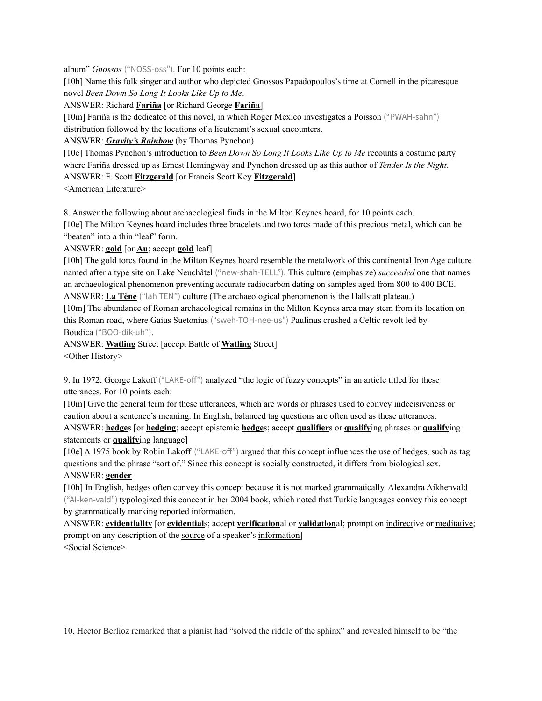album" *Gnossos* ("NOSS-oss"). For 10 points each:

[10h] Name this folk singer and author who depicted Gnossos Papadopoulos's time at Cornell in the picaresque novel *Been Down So Long It Looks Like Up to Me*.

ANSWER: Richard **Fariña** [or Richard George **Fariña**]

[10m] Fariña is the dedicatee of this novel, in which Roger Mexico investigates a Poisson ("PWAH-sahn") distribution followed by the locations of a lieutenant's sexual encounters.

## ANSWER: *Gravity's Rainbow* (by Thomas Pynchon)

[10e] Thomas Pynchon's introduction to *Been Down So Long It Looks Like Up to Me* recounts a costume party where Fariña dressed up as Ernest Hemingway and Pynchon dressed up as this author of *Tender Is the Night*. ANSWER: F. Scott **Fitzgerald** [or Francis Scott Key **Fitzgerald**]

<American Literature>

8. Answer the following about archaeological finds in the Milton Keynes hoard, for 10 points each.

[10e] The Milton Keynes hoard includes three bracelets and two torcs made of this precious metal, which can be "beaten" into a thin "leaf" form.

ANSWER: **gold** [or **Au**; accept **gold** leaf]

[10h] The gold torcs found in the Milton Keynes hoard resemble the metalwork of this continental Iron Age culture named after a type site on Lake Neuchâtel ("new-shah-TELL"). This culture (emphasize) *succeeded* one that names an archaeological phenomenon preventing accurate radiocarbon dating on samples aged from 800 to 400 BCE. ANSWER: **La Tène** ("lah TEN") culture (The archaeological phenomenon is the Hallstatt plateau.)

[10m] The abundance of Roman archaeological remains in the Milton Keynes area may stem from its location on this Roman road, where Gaius Suetonius ("sweh-TOH-nee-us") Paulinus crushed a Celtic revolt led by Boudica ("BOO-dik-uh").

ANSWER: **Watling** Street [accept Battle of **Watling** Street] <Other History>

9. In 1972, George Lakoff ("LAKE-off") analyzed "the logic of fuzzy concepts" in an article titled for these utterances. For 10 points each:

[10m] Give the general term for these utterances, which are words or phrases used to convey indecisiveness or caution about a sentence's meaning. In English, balanced tag questions are often used as these utterances. ANSWER: **hedge**s [or **hedging**; accept epistemic **hedge**s; accept **qualifier**s or **qualify**ing phrases or **qualify**ing

statements or **qualify**ing language]

[10e] A 1975 book by Robin Lakoff ("LAKE-off") argued that this concept influences the use of hedges, such as tag questions and the phrase "sort of." Since this concept is socially constructed, it differs from biological sex.

## ANSWER: **gender**

[10h] In English, hedges often convey this concept because it is not marked grammatically. Alexandra Aikhenvald ("AI-ken-vald") typologized this concept in her 2004 book, which noted that Turkic languages convey this concept by grammatically marking reported information.

ANSWER: **evidentiality** [or **evidential**s; accept **verification**al or **validation**al; prompt on indirective or meditative; prompt on any description of the source of a speaker's information] <Social Science>

10. Hector Berlioz remarked that a pianist had "solved the riddle of the sphinx" and revealed himself to be "the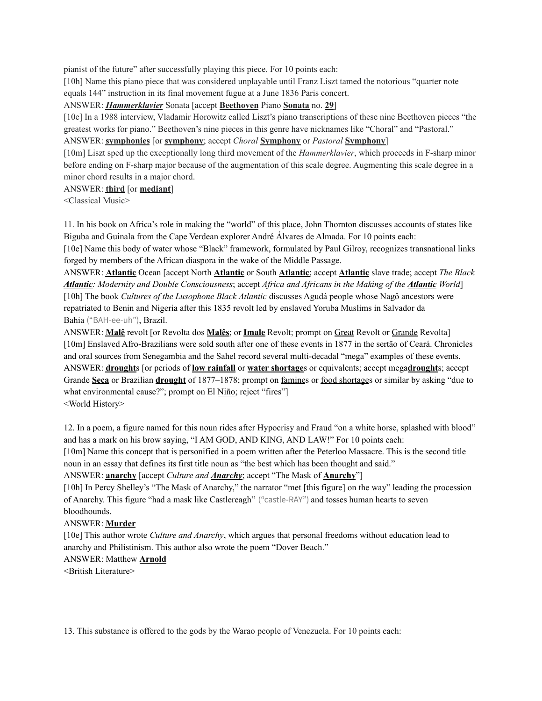pianist of the future" after successfully playing this piece. For 10 points each:

[10h] Name this piano piece that was considered unplayable until Franz Liszt tamed the notorious "quarter note equals 144" instruction in its final movement fugue at a June 1836 Paris concert.

ANSWER: *Hammerklavier* Sonata [accept **Beethoven** Piano **Sonata** no. **29**]

[10e] In a 1988 interview, Vladamir Horowitz called Liszt's piano transcriptions of these nine Beethoven pieces "the greatest works for piano." Beethoven's nine pieces in this genre have nicknames like "Choral" and "Pastoral."

ANSWER: **symphonies** [or **symphony**; accept *Choral* **Symphony** or *Pastoral* **Symphony**]

[10m] Liszt sped up the exceptionally long third movement of the *Hammerklavier*, which proceeds in F-sharp minor before ending on F-sharp major because of the augmentation of this scale degree. Augmenting this scale degree in a minor chord results in a major chord.

ANSWER: **third** [or **mediant**]

<Classical Music>

11. In his book on Africa's role in making the "world" of this place, John Thornton discusses accounts of states like Biguba and Guinala from the Cape Verdean explorer André Álvares de Almada. For 10 points each:

[10e] Name this body of water whose "Black" framework, formulated by Paul Gilroy, recognizes transnational links forged by members of the African diaspora in the wake of the Middle Passage.

ANSWER: **Atlantic** Ocean [accept North **Atlantic** or South **Atlantic**; accept **Atlantic** slave trade; accept *The Black Atlantic: Modernity and Double Consciousness*; accept *Africa and Africans in the Making of the Atlantic World*] [10h] The book *Cultures of the Lusophone Black Atlantic* discusses Agudá people whose Nagô ancestors were repatriated to Benin and Nigeria after this 1835 revolt led by enslaved Yoruba Muslims in Salvador da Bahia ("BAH-ee-uh"), Brazil.

ANSWER: **Malê** revolt [or Revolta dos **Malês**; or **Imale** Revolt; prompt on Great Revolt or Grande Revolta] [10m] Enslaved Afro-Brazilians were sold south after one of these events in 1877 in the sertão of Ceará. Chronicles and oral sources from Senegambia and the Sahel record several multi-decadal "mega" examples of these events. ANSWER: **drought**s [or periods of **low rainfall** or **water shortage**s or equivalents; accept mega**drought**s; accept Grande **Seca** or Brazilian **drought** of 1877–1878; prompt on famines or food shortages or similar by asking "due to what environmental cause?"; prompt on El Niño; reject "fires"] <World History>

12. In a poem, a figure named for this noun rides after Hypocrisy and Fraud "on a white horse, splashed with blood" and has a mark on his brow saying, "I AM GOD, AND KING, AND LAW!" For 10 points each:

[10m] Name this concept that is personified in a poem written after the Peterloo Massacre. This is the second title noun in an essay that defines its first title noun as "the best which has been thought and said."

ANSWER: **anarchy** [accept *Culture and Anarchy*; accept "The Mask of **Anarchy**"]

[10h] In Percy Shelley's "The Mask of Anarchy," the narrator "met [this figure] on the way" leading the procession of Anarchy. This figure "had a mask like Castlereagh" ("castle-RAY") and tosses human hearts to seven bloodhounds.

#### ANSWER: **Murder**

[10e] This author wrote *Culture and Anarchy*, which argues that personal freedoms without education lead to anarchy and Philistinism. This author also wrote the poem "Dover Beach." ANSWER: Matthew **Arnold**

<British Literature>

13. This substance is offered to the gods by the Warao people of Venezuela. For 10 points each: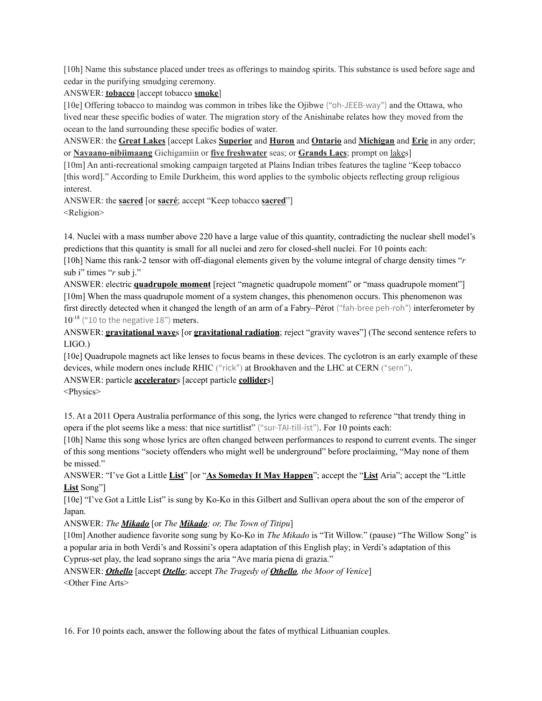[10h] Name this substance placed under trees as offerings to maindog spirits. This substance is used before sage and cedar in the purifying smudging ceremony.

ANSWER: **tobacco** [accept tobacco **smoke**]

[10e] Offering tobacco to maindog was common in tribes like the Ojibwe ("oh-JEEB-way") and the Ottawa, who lived near these specific bodies of water. The migration story of the Anishinabe relates how they moved from the ocean to the land surrounding these specific bodies of water.

ANSWER: the **Great Lakes** [accept Lakes **Superior** and **Huron** and **Ontario** and **Michigan** and **Erie** in any order; or **Nayaano-nibiimaang** Gichigamiin or **five freshwater** seas; or **Grands Lacs**; prompt on lakes]

[10m] An anti-recreational smoking campaign targeted at Plains Indian tribes features the tagline "Keep tobacco [this word]." According to Emile Durkheim, this word applies to the symbolic objects reflecting group religious interest.

ANSWER: the **sacred** [or **sacré**; accept "Keep tobacco **sacred**"] <Religion>

14. Nuclei with a mass number above 220 have a large value of this quantity, contradicting the nuclear shell model's predictions that this quantity is small for all nuclei and zero for closed-shell nuclei. For 10 points each:

[10h] Name this rank-2 tensor with off-diagonal elements given by the volume integral of charge density times "*r* sub i" times "*r* sub j."

ANSWER: electric **quadrupole moment** [reject "magnetic quadrupole moment" or "mass quadrupole moment"] [10m] When the mass quadrupole moment of a system changes, this phenomenon occurs. This phenomenon was first directly detected when it changed the length of an arm of a Fabry–Pérot ("fah-bree peh-roh") interferometer by 10<sup>-18</sup> ("10 to the negative 18") meters.

ANSWER: **gravitational wave**s [or **gravitational radiation**; reject "gravity waves"] (The second sentence refers to LIGO.)

[10e] Quadrupole magnets act like lenses to focus beams in these devices. The cyclotron is an early example of these devices, while modern ones include RHIC ("rick") at Brookhaven and the LHC at CERN ("sern").

ANSWER: particle **accelerator**s [accept particle **collider**s]

<Physics>

15. At a 2011 Opera Australia performance of this song, the lyrics were changed to reference "that trendy thing in opera if the plot seems like a mess: that nice surtitlist" ("sur-TAI-till-ist"). For 10 points each:

[10h] Name this song whose lyrics are often changed between performances to respond to current events. The singer of this song mentions "society offenders who might well be underground" before proclaiming, "May none of them be missed."

ANSWER: "I've Got a Little **List**" [or "**As Someday It May Happen**"; accept the "**List** Aria"; accept the "Little **List** Song"]

[10e] "I've Got a Little List" is sung by Ko-Ko in this Gilbert and Sullivan opera about the son of the emperor of Japan.

ANSWER: *The Mikado* [or *The Mikado; or, The Town of Titipu*]

[10m] Another audience favorite song sung by Ko-Ko in *The Mikado* is "Tit Willow." (pause) "The Willow Song" is a popular aria in both Verdi's and Rossini's opera adaptation of this English play; in Verdi's adaptation of this Cyprus-set play, the lead soprano sings the aria "Ave maria piena di grazia."

ANSWER: *Othello* [accept *Otello*; accept *The Tragedy of Othello, the Moor of Venice*] <Other Fine Arts>

16. For 10 points each, answer the following about the fates of mythical Lithuanian couples.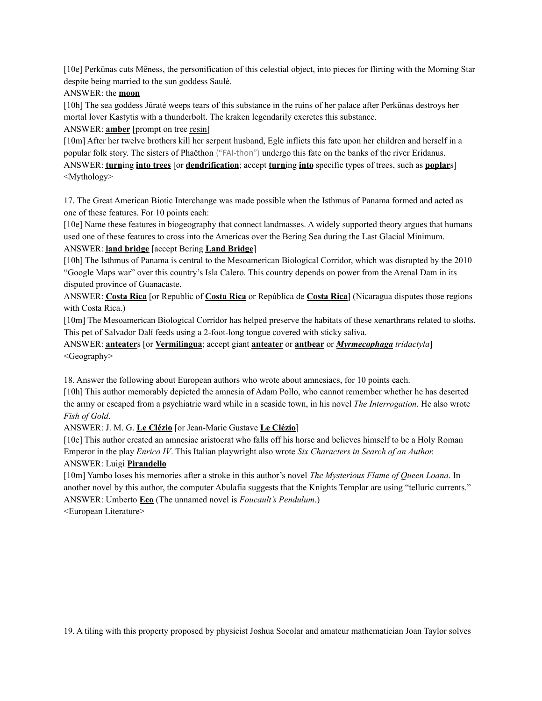[10e] Perkūnas cuts Mēness, the personification of this celestial object, into pieces for flirting with the Morning Star despite being married to the sun goddess Saulė.

#### ANSWER: the **moon**

[10h] The sea goddess Jūratė weeps tears of this substance in the ruins of her palace after Perkūnas destroys her mortal lover Kastytis with a thunderbolt. The kraken legendarily excretes this substance.

ANSWER: **amber** [prompt on tree resin]

[10m] After her twelve brothers kill her serpent husband, Eglė inflicts this fate upon her children and herself in a popular folk story. The sisters of Phaëthon ("FAI-thon") undergo this fate on the banks of the river Eridanus. ANSWER: **turn**ing **into trees** [or **dendrification**; accept **turn**ing **into** specific types of trees, such as **poplar**s] <Mythology>

17. The Great American Biotic Interchange was made possible when the Isthmus of Panama formed and acted as one of these features. For 10 points each:

[10e] Name these features in biogeography that connect landmasses. A widely supported theory argues that humans used one of these features to cross into the Americas over the Bering Sea during the Last Glacial Minimum.

#### ANSWER: **land bridge** [accept Bering **Land Bridge**]

[10h] The Isthmus of Panama is central to the Mesoamerican Biological Corridor, which was disrupted by the 2010 "Google Maps war" over this country's Isla Calero. This country depends on power from the Arenal Dam in its disputed province of Guanacaste.

ANSWER: **Costa Rica** [or Republic of **Costa Rica** or República de **Costa Rica**] (Nicaragua disputes those regions with Costa Rica.)

[10m] The Mesoamerican Biological Corridor has helped preserve the habitats of these xenarthrans related to sloths. This pet of Salvador Dalí feeds using a 2-foot-long tongue covered with sticky saliva.

ANSWER: **anteater**s [or **Vermilingua**; accept giant **anteater** or **antbear** or *Myrmecophaga tridactyla*] <Geography>

18. Answer the following about European authors who wrote about amnesiacs, for 10 points each.

[10h] This author memorably depicted the amnesia of Adam Pollo, who cannot remember whether he has deserted the army or escaped from a psychiatric ward while in a seaside town, in his novel *The Interrogation*. He also wrote *Fish of Gold*.

ANSWER: J. M. G. **Le Clézio** [or Jean-Marie Gustave **Le Clézio**]

[10e] This author created an amnesiac aristocrat who falls off his horse and believes himself to be a Holy Roman Emperor in the play *Enrico IV*. This Italian playwright also wrote *Six Characters in Search of an Author.* ANSWER: Luigi **Pirandello**

[10m] Yambo loses his memories after a stroke in this author's novel *The Mysterious Flame of Queen Loana*. In another novel by this author, the computer Abulafia suggests that the Knights Templar are using "telluric currents." ANSWER: Umberto **Eco** (The unnamed novel is *Foucault's Pendulum*.)

<European Literature>

19. A tiling with this property proposed by physicist Joshua Socolar and amateur mathematician Joan Taylor solves